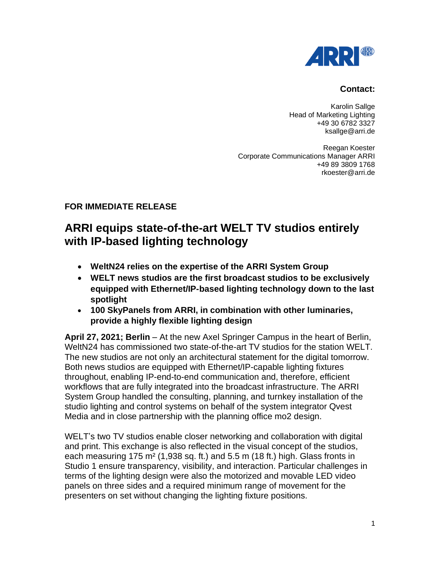

## **Contact:**

Karolin Sallge Head of Marketing Lighting +49 30 6782 3327 ksallge@arri.de

Reegan Koester Corporate Communications Manager ARRI +49 89 3809 1768 rkoester@arri.de

## **FOR IMMEDIATE RELEASE**

## **ARRI equips state-of-the-art WELT TV studios entirely with IP-based lighting technology**

- **WeltN24 relies on the expertise of the ARRI System Group**
- **WELT news studios are the first broadcast studios to be exclusively equipped with Ethernet/IP-based lighting technology down to the last spotlight**
- **100 SkyPanels from ARRI, in combination with other luminaries, provide a highly flexible lighting design**

**April 27, 2021; Berlin** – At the new Axel Springer Campus in the heart of Berlin, WeltN24 has commissioned two state-of-the-art TV studios for the station WELT. The new studios are not only an architectural statement for the digital tomorrow. Both news studios are equipped with Ethernet/IP-capable lighting fixtures throughout, enabling IP-end-to-end communication and, therefore, efficient workflows that are fully integrated into the broadcast infrastructure. The ARRI System Group handled the consulting, planning, and turnkey installation of the studio lighting and control systems on behalf of the system integrator Qvest Media and in close partnership with the planning office mo2 design.

WELT's two TV studios enable closer networking and collaboration with digital and print. This exchange is also reflected in the visual concept of the studios, each measuring 175 m² (1,938 sq. ft.) and 5.5 m (18 ft.) high. Glass fronts in Studio 1 ensure transparency, visibility, and interaction. Particular challenges in terms of the lighting design were also the motorized and movable LED video panels on three sides and a required minimum range of movement for the presenters on set without changing the lighting fixture positions.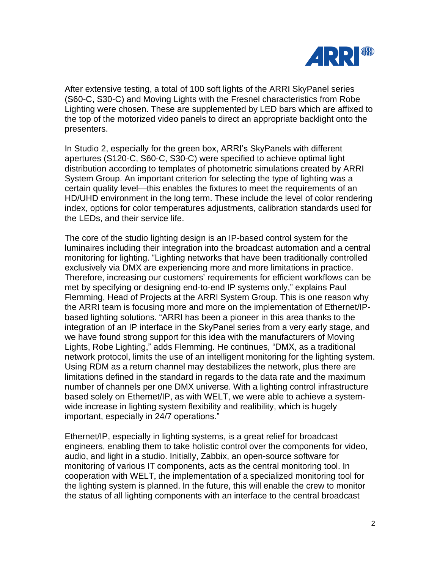

After extensive testing, a total of 100 soft lights of the ARRI SkyPanel series (S60-C, S30-C) and Moving Lights with the Fresnel characteristics from Robe Lighting were chosen. These are supplemented by LED bars which are affixed to the top of the motorized video panels to direct an appropriate backlight onto the presenters.

In Studio 2, especially for the green box, ARRI's SkyPanels with different apertures (S120-C, S60-C, S30-C) were specified to achieve optimal light distribution according to templates of photometric simulations created by ARRI System Group. An important criterion for selecting the type of lighting was a certain quality level—this enables the fixtures to meet the requirements of an HD/UHD environment in the long term. These include the level of color rendering index, options for color temperatures adjustments, calibration standards used for the LEDs, and their service life.

The core of the studio lighting design is an IP-based control system for the luminaires including their integration into the broadcast automation and a central monitoring for lighting. "Lighting networks that have been traditionally controlled exclusively via DMX are experiencing more and more limitations in practice. Therefore, increasing our customers' requirements for efficient workflows can be met by specifying or designing end-to-end IP systems only," explains Paul Flemming, Head of Projects at the ARRI System Group. This is one reason why the ARRI team is focusing more and more on the implementation of Ethernet/IPbased lighting solutions. "ARRI has been a pioneer in this area thanks to the integration of an IP interface in the SkyPanel series from a very early stage, and we have found strong support for this idea with the manufacturers of Moving Lights, Robe Lighting," adds Flemming. He continues, "DMX, as a traditional network protocol, limits the use of an intelligent monitoring for the lighting system. Using RDM as a return channel may destabilizes the network, plus there are limitations defined in the standard in regards to the data rate and the maximum number of channels per one DMX universe. With a lighting control infrastructure based solely on Ethernet/IP, as with WELT, we were able to achieve a systemwide increase in lighting system flexibility and realibility, which is hugely important, especially in 24/7 operations."

Ethernet/IP, especially in lighting systems, is a great relief for broadcast engineers, enabling them to take holistic control over the components for video, audio, and light in a studio. Initially, Zabbix, an open-source software for monitoring of various IT components, acts as the central monitoring tool. In cooperation with WELT, the implementation of a specialized monitoring tool for the lighting system is planned. In the future, this will enable the crew to monitor the status of all lighting components with an interface to the central broadcast